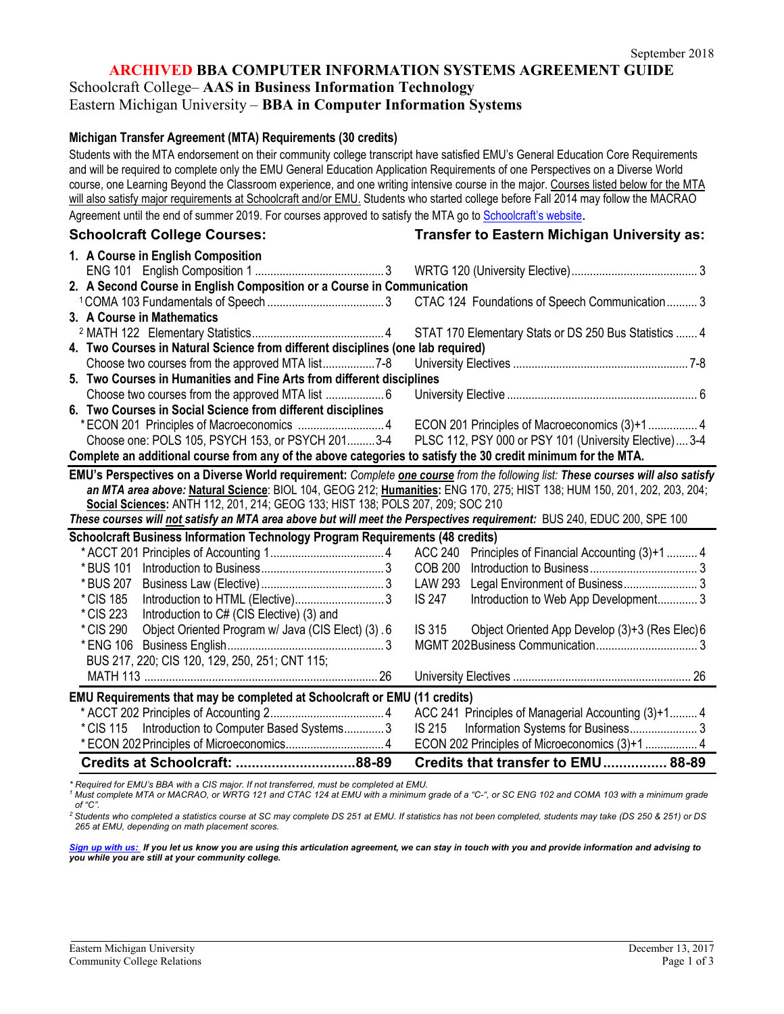**ARCHIVED BBA COMPUTER INFORMATION SYSTEMS AGREEMENT GUIDE**

Schoolcraft College– **AAS in Business Information Technology**

Eastern Michigan University – **BBA in Computer Information Systems**

#### **Michigan Transfer Agreement (MTA) Requirements (30 credits)**

Students with the MTA endorsement on their community college transcript have satisfied EMU's General Education Core Requirements and will be required to complete only the EMU General Education Application Requirements of one Perspectives on a Diverse World course, one Learning Beyond the Classroom experience, and one writing intensive course in the major. Courses listed below for the MTA will also satisfy major requirements at Schoolcraft and/or EMU. Students who started college before Fall 2014 may follow the MACRAO Agreement until the end of summer 2019. For courses approved to satisfy the MTA go t[o Schoolcraft's website](http://www.schoolcraft.edu/academics/michigan-transfer-agreement).

**Schoolcraft College Courses: Transfer to Eastern Michigan University as:**

| 1. A Course in English Composition                                                                                              |                                                               |  |  |  |
|---------------------------------------------------------------------------------------------------------------------------------|---------------------------------------------------------------|--|--|--|
|                                                                                                                                 |                                                               |  |  |  |
| 2. A Second Course in English Composition or a Course in Communication                                                          |                                                               |  |  |  |
|                                                                                                                                 | CTAC 124 Foundations of Speech Communication3                 |  |  |  |
| 3. A Course in Mathematics                                                                                                      |                                                               |  |  |  |
|                                                                                                                                 | STAT 170 Elementary Stats or DS 250 Bus Statistics  4         |  |  |  |
| 4. Two Courses in Natural Science from different disciplines (one lab required)                                                 |                                                               |  |  |  |
|                                                                                                                                 |                                                               |  |  |  |
| 5. Two Courses in Humanities and Fine Arts from different disciplines                                                           |                                                               |  |  |  |
|                                                                                                                                 |                                                               |  |  |  |
| 6. Two Courses in Social Science from different disciplines                                                                     |                                                               |  |  |  |
|                                                                                                                                 |                                                               |  |  |  |
| Choose one: POLS 105, PSYCH 153, or PSYCH 2013-4                                                                                | PLSC 112, PSY 000 or PSY 101 (University Elective) 3-4        |  |  |  |
| Complete an additional course from any of the above categories to satisfy the 30 credit minimum for the MTA.                    |                                                               |  |  |  |
| EMU's Perspectives on a Diverse World requirement: Complete one course from the following list: These courses will also satisfy |                                                               |  |  |  |
| an MTA area above: Natural Science: BIOL 104, GEOG 212; Humanities: ENG 170, 275; HIST 138; HUM 150, 201, 202, 203, 204;        |                                                               |  |  |  |
| Social Sciences: ANTH 112, 201, 214; GEOG 133; HIST 138; POLS 207, 209; SOC 210                                                 |                                                               |  |  |  |
| These courses will not satisfy an MTA area above but will meet the Perspectives requirement: BUS 240, EDUC 200, SPE 100         |                                                               |  |  |  |
| <b>Schoolcraft Business Information Technology Program Requirements (48 credits)</b>                                            |                                                               |  |  |  |
|                                                                                                                                 | <b>ACC 240</b><br>Principles of Financial Accounting (3)+1  4 |  |  |  |
| * BUS 101                                                                                                                       | <b>COB 200</b>                                                |  |  |  |
| * BUS 207                                                                                                                       | Legal Environment of Business 3<br>LAW 293                    |  |  |  |
| * CIS 185                                                                                                                       | <b>IS 247</b><br>Introduction to Web App Development 3        |  |  |  |
| * CIS 223<br>Introduction to C# (CIS Elective) (3) and                                                                          |                                                               |  |  |  |
| * CIS 290<br>Object Oriented Program w/ Java (CIS Elect) (3) .6                                                                 | IS 315<br>Object Oriented App Develop (3)+3 (Res Elec) 6      |  |  |  |
| * ENG 106                                                                                                                       |                                                               |  |  |  |
| BUS 217, 220; CIS 120, 129, 250, 251; CNT 115;                                                                                  |                                                               |  |  |  |
|                                                                                                                                 |                                                               |  |  |  |
| EMU Requirements that may be completed at Schoolcraft or EMU (11 credits)                                                       |                                                               |  |  |  |
|                                                                                                                                 | ACC 241 Principles of Managerial Accounting (3)+1 4           |  |  |  |
| * CIS 115    Introduction to Computer Based Systems 3                                                                           | IS 215                                                        |  |  |  |
|                                                                                                                                 | ECON 202 Principles of Microeconomics (3)+1  4                |  |  |  |
| Credits at Schoolcraft: 88-89                                                                                                   | Credits that transfer to EMU 88-89                            |  |  |  |

*\* Required for EMU's BBA with a CIS major. If not transferred, must be completed at EMU.*

*<sup>1</sup> Must complete MTA or MACRAO, or WRTG 121 and CTAC 124 at EMU with a minimum grade of a "C-", or SC ENG 102 and COMA 103 with a minimum grade of "C".*

*2 Students who completed a statistics course at SC may complete DS 251 at EMU. If statistics has not been completed, students may take (DS 250 & 251) or DS 265 at EMU, depending on math placement scores.*

*[Sign up with us: I](https://www.emich.edu/ccr/articulation-agreements/signup.php)f you let us know you are using this articulation agreement, we can stay in touch with you and provide information and advising to you while you are still at your community college.*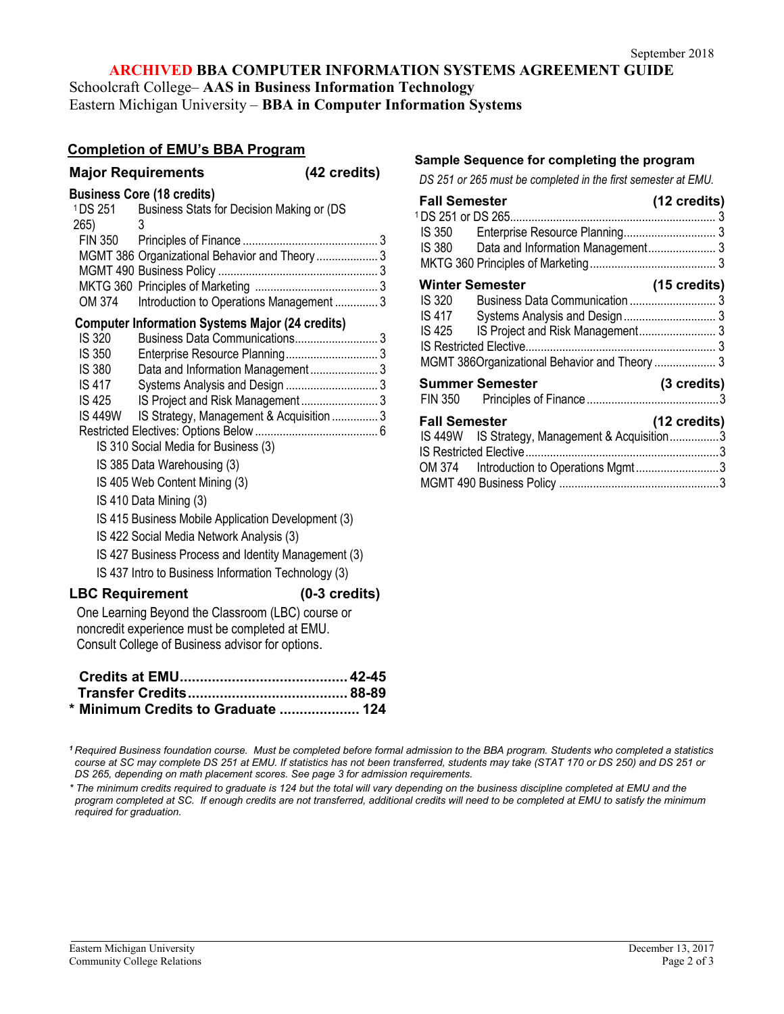#### **ARCHIVED BBA COMPUTER INFORMATION SYSTEMS AGREEMENT GUIDE**

Schoolcraft College– **AAS in Business Information Technology** Eastern Michigan University – **BBA in Computer Information Systems**

### **Completion of EMU's BBA Program**

|                                   | <b>Major Requirements</b>                                                                                                                               | (42 credits)            |  |  |
|-----------------------------------|---------------------------------------------------------------------------------------------------------------------------------------------------------|-------------------------|--|--|
| <b>Business Core (18 credits)</b> |                                                                                                                                                         |                         |  |  |
|                                   | <sup>1</sup> DS 251 Business Stats for Decision Making or (DS                                                                                           |                         |  |  |
| 265)                              | 3                                                                                                                                                       |                         |  |  |
|                                   |                                                                                                                                                         |                         |  |  |
|                                   | MGMT 386 Organizational Behavior and Theory  3                                                                                                          |                         |  |  |
|                                   |                                                                                                                                                         |                         |  |  |
| OM 374                            |                                                                                                                                                         |                         |  |  |
|                                   | Introduction to Operations Management  3                                                                                                                |                         |  |  |
|                                   | <b>Computer Information Systems Major (24 credits)</b>                                                                                                  |                         |  |  |
| <b>IS 320</b>                     |                                                                                                                                                         |                         |  |  |
| IS 350<br><b>IS 380</b>           |                                                                                                                                                         |                         |  |  |
| <b>IS 417</b>                     |                                                                                                                                                         |                         |  |  |
| <b>IS 425</b>                     |                                                                                                                                                         |                         |  |  |
|                                   | IS 449W IS Strategy, Management & Acquisition  3                                                                                                        |                         |  |  |
|                                   |                                                                                                                                                         |                         |  |  |
|                                   | IS 310 Social Media for Business (3)                                                                                                                    |                         |  |  |
|                                   | IS 385 Data Warehousing (3)                                                                                                                             |                         |  |  |
|                                   | IS 405 Web Content Mining (3)                                                                                                                           |                         |  |  |
|                                   | IS 410 Data Mining (3)                                                                                                                                  |                         |  |  |
|                                   | IS 415 Business Mobile Application Development (3)                                                                                                      |                         |  |  |
|                                   | IS 422 Social Media Network Analysis (3)                                                                                                                |                         |  |  |
|                                   | IS 427 Business Process and Identity Management (3)                                                                                                     |                         |  |  |
|                                   | IS 437 Intro to Business Information Technology (3)                                                                                                     |                         |  |  |
| <b>LBC Requirement</b>            |                                                                                                                                                         | $(0-3 \text{ credits})$ |  |  |
|                                   | One Learning Beyond the Classroom (LBC) course or<br>noncredit experience must be completed at EMU.<br>Consult College of Business advisor for options. |                         |  |  |
|                                   |                                                                                                                                                         |                         |  |  |

| * Minimum Credits to Graduate  124 |  |
|------------------------------------|--|

#### *<sup>1</sup> Required Business foundation course. Must be completed before formal admission to the BBA program. Students who completed a statistics course at SC may complete DS 251 at EMU. If statistics has not been transferred, students may take (STAT 170 or DS 250) and DS 251 or DS 265, depending on math placement scores. See page 3 for admission requirements.*

*\* The minimum credits required to graduate is 124 but the total will vary depending on the business discipline completed at EMU and the program completed at SC. If enough credits are not transferred, additional credits will need to be completed at EMU to satisfy the minimum required for graduation.* 

# **Sample Sequence for completing the program**

*DS 251 or 265 must be completed in the first semester at EMU.*

| <b>Fall Semester</b>                 |                                                | (12 credits) |  |  |
|--------------------------------------|------------------------------------------------|--------------|--|--|
|                                      |                                                |              |  |  |
|                                      |                                                |              |  |  |
|                                      |                                                |              |  |  |
|                                      |                                                |              |  |  |
| <b>Winter Semester</b>               |                                                | (15 credits) |  |  |
| IS 320                               |                                                |              |  |  |
| IS 417                               |                                                |              |  |  |
| IS 425                               |                                                |              |  |  |
|                                      |                                                |              |  |  |
|                                      | MGMT 386Organizational Behavior and Theory  3  |              |  |  |
|                                      | <b>Summer Semester</b>                         | (3 credits)  |  |  |
| <b>Fall Semester</b><br>(12 credits) |                                                |              |  |  |
|                                      | IS 449W IS Strategy, Management & Acquisition3 |              |  |  |
|                                      |                                                |              |  |  |
|                                      | OM 374 Introduction to Operations Mgmt3        |              |  |  |
|                                      |                                                |              |  |  |